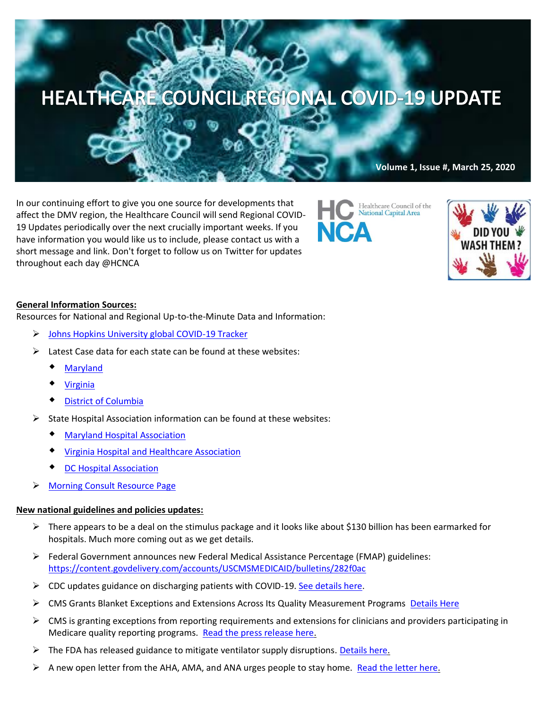

In our continuing effort to give you one source for developments that affect the DMV region, the Healthcare Council will send Regional COVID-19 Updates periodically over the next crucially important weeks. If you have information you would like us to include, please contact us with a short message and link. Don't forget to follow us on Twitter for updates throughout each day @HCNCA

Healthcare Council of the National Capital Area



# **General Information Sources:**

Resources for National and Regional Up-to-the-Minute Data and Information:

- ➢ [Johns Hopkins University global COVID-19 Tracker](https://gisanddata.maps.arcgis.com/apps/opsdashboard/index.html#/bda7594740fd40299423467b48e9ecf6)
- Latest Case data for each state can be found at these websites:
	- [Maryland](https://coronavirus.maryland.gov/)
	- [Virginia](http://www.vdh.virginia.gov/coronavirus/)
	- [District of Columbia](https://coronavirus.dc.gov/)
- ➢ State Hospital Association information can be found at these websites:
	- [Maryland Hospital Association](https://www.mhaonline.org/resources/coronavirus)
	- [Virginia Hospital and Healthcare Association](https://www.vhha.com/resources/covid-19-resources/)
	- DC [Hospital Association](https://www.dcha.org/quality-safety/coronavirus)
- ➢ [Morning Consult Resource Page](https://morningconsult.com/coronavirus/)

## **New national guidelines and policies updates:**

- $\triangleright$  There appears to be a deal on the stimulus package and it looks like about \$130 billion has been earmarked for hospitals. Much more coming out as we get details.
- ➢ Federal Government announces new Federal Medical Assistance Percentage (FMAP) guidelines: <https://content.govdelivery.com/accounts/USCMSMEDICAID/bulletins/282f0ac>
- $\triangleright$  CDC updates guidance on discharging patients with COVID-19. [See details here.](https://contentsharing.net/actions/email_web_version.cfm?ep=Bdhtp-zVuqFkgQiV6-lxty0f-nrLBJWzuTngPvD-5dVocaj5gmW-m8dZvwNCbtBQCijUBKVAQmw7OLyfartF1HaC1KsPToNQy2xUoHS6uCbOUH42Qb8nTC8wdT4M6Qtw)
- ➢ CMS Grants Blanket Exceptions and Extensions Across Its Quality Measurement Programs [Details Here](https://contentsharing.net/actions/email_web_version.cfm?ep=Bdhtp-zVuqFkgQiV6-lxty0f-nrLBJWzuTngPvD-5dUxSPl2jNARIZgh3h1yIdO_eSQLQhoFN_nL5jh0YdZU2tg2XqWlWLRtE3RupFFFVuXBJdDZ-Gu6UKkUkdaGs27_)
- $\triangleright$  CMS is granting exceptions from reporting requirements and extensions for clinicians and providers participating in Medicare quality reporting programs. [Read the press release here.](https://www.cms.gov/newsroom/press-releases/cms-announces-relief-clinicians-providers-hospitals-and-facilities-participating-quality-reporting)
- $\triangleright$  The FDA has released guidance to mitigate ventilator supply disruptions. [Details here.](https://mail.google.com/mail/u/0/#inbox/FMfcgxwHMPqxZNkJtBGRkMBTxHVrZgrW)
- $\triangleright$  A new open letter from the AHA, AMA, and ANA urges people to stay home[. Read the letter here.](https://mail-attachment.googleusercontent.com/attachment/u/0/?ui=2&ik=9aef729a78&attid=0.1&permmsgid=msg-f:1662070500512048356&th=1710dc506ead24e4&view=att&disp=inline&saddbat=ANGjdJ90L1OvSKVI0pA85jv7J7nH0vc3PHgFHbD7wvshj6SZ8F6E3Tm4eZR-VVr02x7fhCNHIXzmvfRHGE7pkdUSNts9jRGfG7kPJYjaNiiw-gg8NUwcglAtqOXXvetFLxEXQnkcr_Gh0pS_SRmg3_dLP-JvI_bGAWS8lUwAbo2Q_cd_vG1lS7SrOMadkMUrsSGm4qmHmQ76in5_v_nRzaK2XX1UFSU1NHWVkQEHFy0sb9RwKH495zEIMCrYP5jAlwQx0i6JleJ5Gve4y7Ac4j16gbOvAeQx5xd4bOrWLme3OZYP6YgFpRLgi-j4ao8WPAw5te6usacsG7JP8XpCQi1nJ4lQU4Yzqje6b6YHAYAMtZS5_JZfdB1D3Tp-efX589Eta2-VSnCHtYfg1LN5OBWTF1IvKrCPcyGAdLUyBqRzfMDcQ946QnWpAFmeqnwrounNaYIHWZAHOHor9dWsay7W446uoeRO_UBjqZ1ABbK0bTRjVy8Zx7XYaj8GWLtMcsznWdLnwAcLDCllrBCGFhkx7wVlODga1O2CeozbWoQnTxV4n45nMsLUo9j9-AitNWmqLQMSdcBxjXu54Q0xwvBg0qajiXTQzm24BMzY_P78dUEwkOujl6EDceVQj69S-dikermSOvQTN59OBI_ET5hZyu7yNaYLMgKtYI4tZAKEpioFeCwoXGFDJkcPv_w)